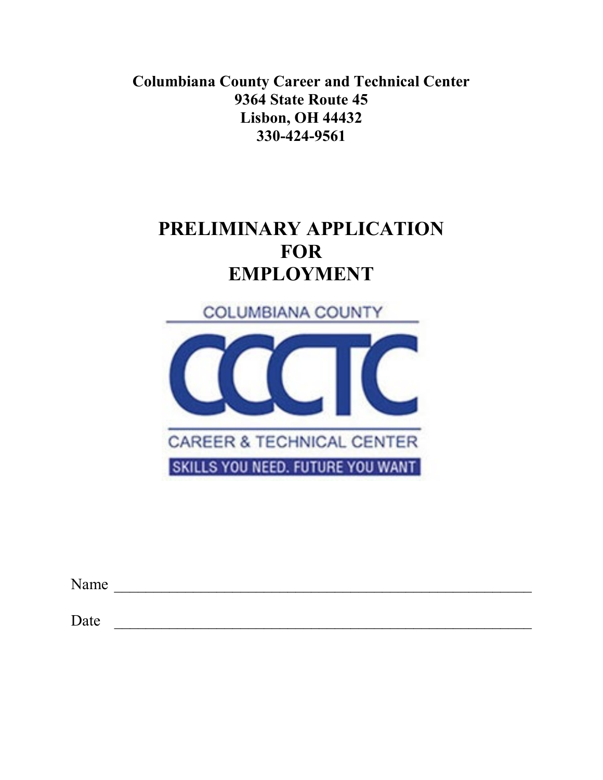**Columbiana County Career and Technical Center 9364 State Route 45 Lisbon, OH 44432 330-424-9561**

# **PRELIMINARY APPLICATION FOR EMPLOYMENT**



| Name |  |  |  |
|------|--|--|--|
|      |  |  |  |
| Date |  |  |  |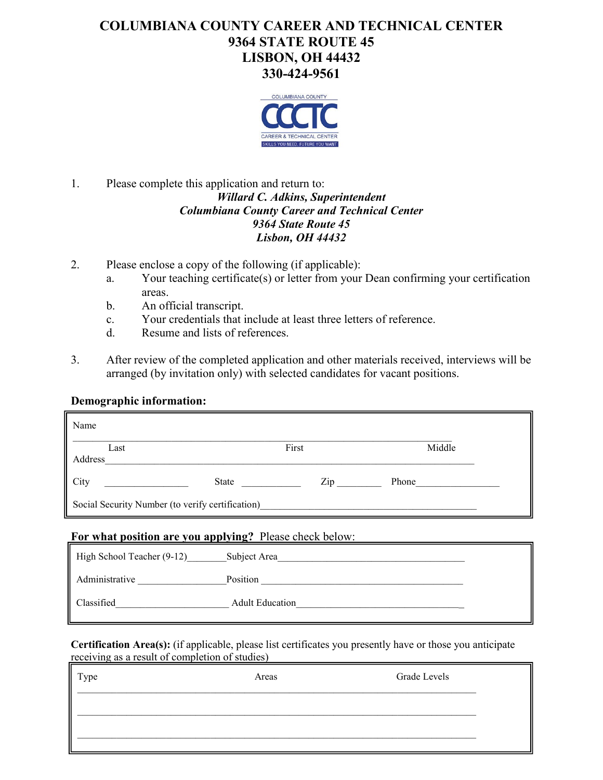# **COLUMBIANA COUNTY CAREER AND TECHNICAL CENTER 9364 STATE ROUTE 45 LISBON, OH 44432 330-424-9561**



## 1. Please complete this application and return to: *Willard C. Adkins, Superintendent Columbiana County Career and Technical Center 9364 State Route 45 Lisbon, OH 44432*

- 2. Please enclose a copy of the following (if applicable):
	- a. Your teaching certificate(s) or letter from your Dean confirming your certification areas.
	- b. An official transcript.
	- c. Your credentials that include at least three letters of reference.
	- d. Resume and lists of references.
- 3. After review of the completed application and other materials received, interviews will be arranged (by invitation only) with selected candidates for vacant positions.

## **Demographic information:**

| Name                                             |                                  |        |
|--------------------------------------------------|----------------------------------|--------|
| Last<br>Address                                  | First                            | Middle |
| City<br>State                                    | $\mathop{\mathrm{Zip}}\nolimits$ | Phone  |
| Social Security Number (to verify certification) |                                  |        |

#### **For what position are you applying?** Please check below:

| High School Teacher (9-12) | Subject Area           |  |
|----------------------------|------------------------|--|
| Administrative             | Position               |  |
| Classified                 | <b>Adult Education</b> |  |

**Certification Area(s):** (if applicable, please list certificates you presently have or those you anticipate receiving as a result of completion of studies)

| Type | Areas | Grade Levels |
|------|-------|--------------|
|      |       |              |
|      |       |              |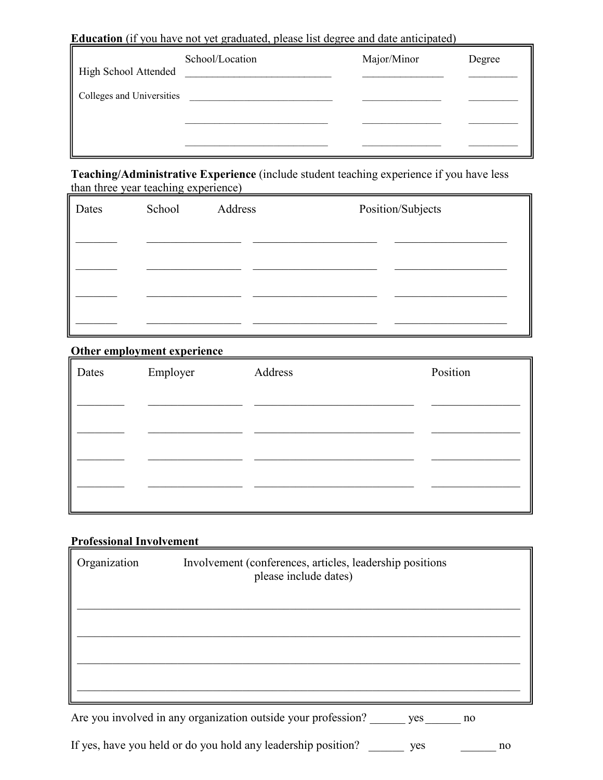**Education** (if you have not yet graduated, please list degree and date anticipated)

|                           | School/Location | Major/Minor | Degree |
|---------------------------|-----------------|-------------|--------|
| High School Attended      |                 |             |        |
| Colleges and Universities |                 |             |        |
|                           |                 |             |        |
|                           |                 |             |        |

**Teaching/Administrative Experience** (include student teaching experience if you have less than three year teaching experience)

| Dates | School | Address | Position/Subjects |
|-------|--------|---------|-------------------|
|       |        |         |                   |
|       |        |         |                   |
|       |        |         |                   |
|       |        |         |                   |

### **Other employment experience**

| $\parallel$ Dates | Employer | Address | Position |
|-------------------|----------|---------|----------|
|                   |          |         |          |
|                   |          |         |          |
|                   |          |         |          |
|                   |          |         |          |
|                   |          |         |          |

# **Professional Involvement**

| Organization | Involvement (conferences, articles, leadership positions<br>please include dates) |
|--------------|-----------------------------------------------------------------------------------|
|              |                                                                                   |
|              |                                                                                   |
|              |                                                                                   |

Are you involved in any organization outside your profession? \_\_\_\_\_\_\_ yes \_\_\_\_\_\_ no

If yes, have you held or do you hold any leadership position? \_\_\_\_\_\_\_ yes \_\_\_\_\_\_ no